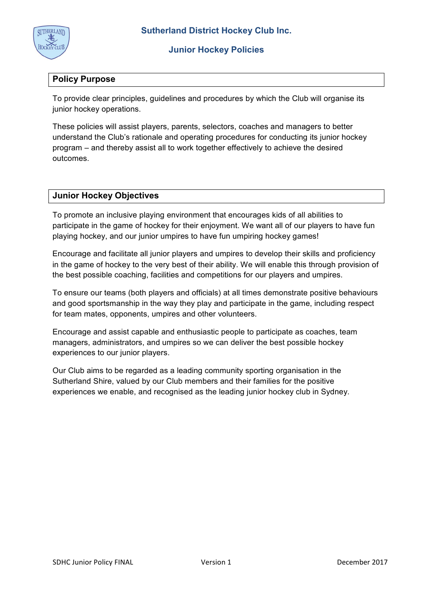

# **Policy Purpose**

To provide clear principles, guidelines and procedures by which the Club will organise its junior hockey operations.

These policies will assist players, parents, selectors, coaches and managers to better understand the Club's rationale and operating procedures for conducting its junior hockey program – and thereby assist all to work together effectively to achieve the desired outcomes.

## **Junior Hockey Objectives**

To promote an inclusive playing environment that encourages kids of all abilities to participate in the game of hockey for their enjoyment. We want all of our players to have fun playing hockey, and our junior umpires to have fun umpiring hockey games!

Encourage and facilitate all junior players and umpires to develop their skills and proficiency in the game of hockey to the very best of their ability. We will enable this through provision of the best possible coaching, facilities and competitions for our players and umpires.

To ensure our teams (both players and officials) at all times demonstrate positive behaviours and good sportsmanship in the way they play and participate in the game, including respect for team mates, opponents, umpires and other volunteers.

Encourage and assist capable and enthusiastic people to participate as coaches, team managers, administrators, and umpires so we can deliver the best possible hockey experiences to our junior players.

Our Club aims to be regarded as a leading community sporting organisation in the Sutherland Shire, valued by our Club members and their families for the positive experiences we enable, and recognised as the leading junior hockey club in Sydney.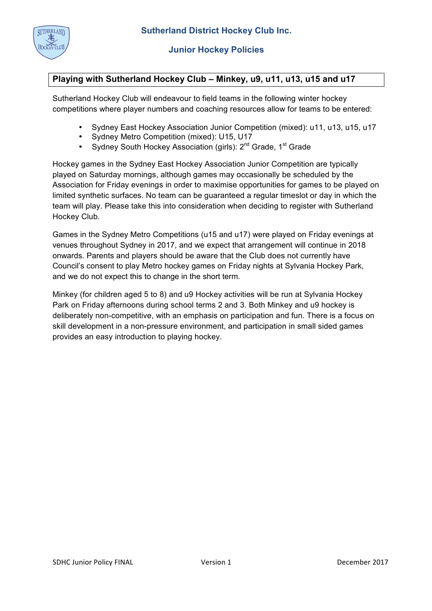

# **Playing with Sutherland Hockey Club – Minkey, u9, u11, u13, u15 and u17**

Sutherland Hockey Club will endeavour to field teams in the following winter hockey competitions where player numbers and coaching resources allow for teams to be entered:

- Sydney East Hockey Association Junior Competition (mixed): u11, u13, u15, u17
- Sydney Metro Competition (mixed): U15, U17
- Sydney South Hockey Association (girls): 2<sup>nd</sup> Grade, 1<sup>st</sup> Grade

Hockey games in the Sydney East Hockey Association Junior Competition are typically played on Saturday mornings, although games may occasionally be scheduled by the Association for Friday evenings in order to maximise opportunities for games to be played on limited synthetic surfaces. No team can be guaranteed a regular timeslot or day in which the team will play. Please take this into consideration when deciding to register with Sutherland Hockey Club.

Games in the Sydney Metro Competitions (u15 and u17) were played on Friday evenings at venues throughout Sydney in 2017, and we expect that arrangement will continue in 2018 onwards. Parents and players should be aware that the Club does not currently have Council's consent to play Metro hockey games on Friday nights at Sylvania Hockey Park, and we do not expect this to change in the short term.

Minkey (for children aged 5 to 8) and u9 Hockey activities will be run at Sylvania Hockey Park on Friday afternoons during school terms 2 and 3. Both Minkey and u9 hockey is deliberately non-competitive, with an emphasis on participation and fun. There is a focus on skill development in a non-pressure environment, and participation in small sided games provides an easy introduction to playing hockey.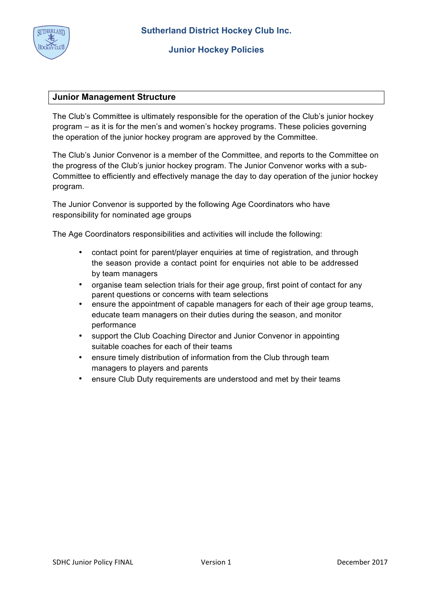

## **Junior Management Structure**

The Club's Committee is ultimately responsible for the operation of the Club's junior hockey program – as it is for the men's and women's hockey programs. These policies governing the operation of the junior hockey program are approved by the Committee.

The Club's Junior Convenor is a member of the Committee, and reports to the Committee on the progress of the Club's junior hockey program. The Junior Convenor works with a sub-Committee to efficiently and effectively manage the day to day operation of the junior hockey program.

The Junior Convenor is supported by the following Age Coordinators who have responsibility for nominated age groups

The Age Coordinators responsibilities and activities will include the following:

- contact point for parent/player enquiries at time of registration, and through the season provide a contact point for enquiries not able to be addressed by team managers
- organise team selection trials for their age group, first point of contact for any parent questions or concerns with team selections
- ensure the appointment of capable managers for each of their age group teams, educate team managers on their duties during the season, and monitor performance
- support the Club Coaching Director and Junior Convenor in appointing suitable coaches for each of their teams
- ensure timely distribution of information from the Club through team managers to players and parents
- ensure Club Duty requirements are understood and met by their teams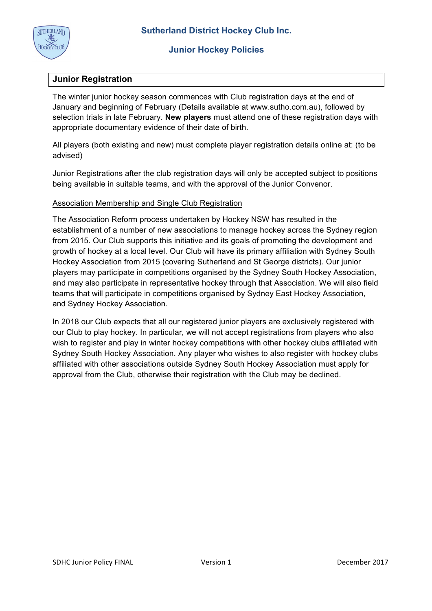

## **Junior Registration**

The winter junior hockey season commences with Club registration days at the end of January and beginning of February (Details available at www.sutho.com.au), followed by selection trials in late February. **New players** must attend one of these registration days with appropriate documentary evidence of their date of birth.

All players (both existing and new) must complete player registration details online at: (to be advised)

Junior Registrations after the club registration days will only be accepted subject to positions being available in suitable teams, and with the approval of the Junior Convenor.

### Association Membership and Single Club Registration

The Association Reform process undertaken by Hockey NSW has resulted in the establishment of a number of new associations to manage hockey across the Sydney region from 2015. Our Club supports this initiative and its goals of promoting the development and growth of hockey at a local level. Our Club will have its primary affiliation with Sydney South Hockey Association from 2015 (covering Sutherland and St George districts). Our junior players may participate in competitions organised by the Sydney South Hockey Association, and may also participate in representative hockey through that Association. We will also field teams that will participate in competitions organised by Sydney East Hockey Association, and Sydney Hockey Association.

In 2018 our Club expects that all our registered junior players are exclusively registered with our Club to play hockey. In particular, we will not accept registrations from players who also wish to register and play in winter hockey competitions with other hockey clubs affiliated with Sydney South Hockey Association. Any player who wishes to also register with hockey clubs affiliated with other associations outside Sydney South Hockey Association must apply for approval from the Club, otherwise their registration with the Club may be declined.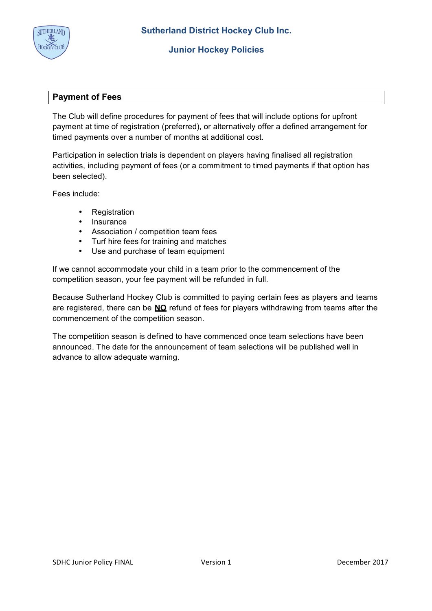

## **Payment of Fees**

The Club will define procedures for payment of fees that will include options for upfront payment at time of registration (preferred), or alternatively offer a defined arrangement for timed payments over a number of months at additional cost.

Participation in selection trials is dependent on players having finalised all registration activities, including payment of fees (or a commitment to timed payments if that option has been selected).

Fees include:

- **Registration**
- Insurance
- Association / competition team fees
- Turf hire fees for training and matches<br>• Use and purchase of team equipment
- Use and purchase of team equipment

If we cannot accommodate your child in a team prior to the commencement of the competition season, your fee payment will be refunded in full.

Because Sutherland Hockey Club is committed to paying certain fees as players and teams are registered, there can be **NO** refund of fees for players withdrawing from teams after the commencement of the competition season.

The competition season is defined to have commenced once team selections have been announced. The date for the announcement of team selections will be published well in advance to allow adequate warning.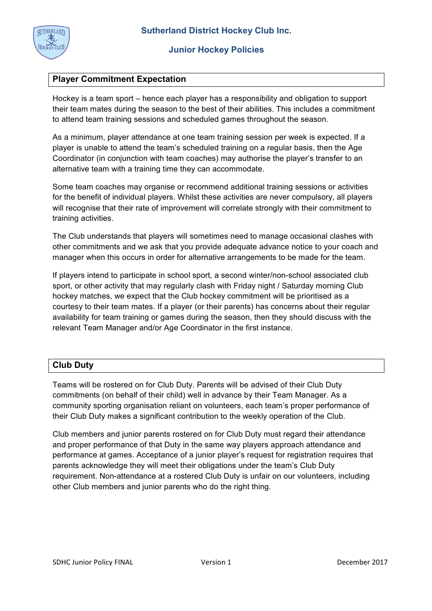

# **Player Commitment Expectation**

Hockey is a team sport – hence each player has a responsibility and obligation to support their team mates during the season to the best of their abilities. This includes a commitment to attend team training sessions and scheduled games throughout the season.

As a minimum, player attendance at one team training session per week is expected. If a player is unable to attend the team's scheduled training on a regular basis, then the Age Coordinator (in conjunction with team coaches) may authorise the player's transfer to an alternative team with a training time they can accommodate.

Some team coaches may organise or recommend additional training sessions or activities for the benefit of individual players. Whilst these activities are never compulsory, all players will recognise that their rate of improvement will correlate strongly with their commitment to training activities.

The Club understands that players will sometimes need to manage occasional clashes with other commitments and we ask that you provide adequate advance notice to your coach and manager when this occurs in order for alternative arrangements to be made for the team.

If players intend to participate in school sport, a second winter/non-school associated club sport, or other activity that may regularly clash with Friday night / Saturday morning Club hockey matches, we expect that the Club hockey commitment will be prioritised as a courtesy to their team mates. If a player (or their parents) has concerns about their regular availability for team training or games during the season, then they should discuss with the relevant Team Manager and/or Age Coordinator in the first instance.

# **Club Duty**

Teams will be rostered on for Club Duty. Parents will be advised of their Club Duty commitments (on behalf of their child) well in advance by their Team Manager. As a community sporting organisation reliant on volunteers, each team's proper performance of their Club Duty makes a significant contribution to the weekly operation of the Club.

Club members and junior parents rostered on for Club Duty must regard their attendance and proper performance of that Duty in the same way players approach attendance and performance at games. Acceptance of a junior player's request for registration requires that parents acknowledge they will meet their obligations under the team's Club Duty requirement. Non-attendance at a rostered Club Duty is unfair on our volunteers, including other Club members and junior parents who do the right thing.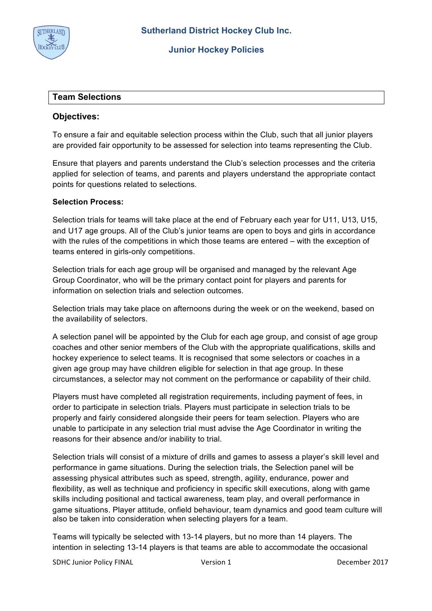

### **Team Selections**

### **Objectives:**

To ensure a fair and equitable selection process within the Club, such that all junior players are provided fair opportunity to be assessed for selection into teams representing the Club.

Ensure that players and parents understand the Club's selection processes and the criteria applied for selection of teams, and parents and players understand the appropriate contact points for questions related to selections.

#### **Selection Process:**

Selection trials for teams will take place at the end of February each year for U11, U13, U15, and U17 age groups. All of the Club's junior teams are open to boys and girls in accordance with the rules of the competitions in which those teams are entered – with the exception of teams entered in girls-only competitions.

Selection trials for each age group will be organised and managed by the relevant Age Group Coordinator, who will be the primary contact point for players and parents for information on selection trials and selection outcomes.

Selection trials may take place on afternoons during the week or on the weekend, based on the availability of selectors.

A selection panel will be appointed by the Club for each age group, and consist of age group coaches and other senior members of the Club with the appropriate qualifications, skills and hockey experience to select teams. It is recognised that some selectors or coaches in a given age group may have children eligible for selection in that age group. In these circumstances, a selector may not comment on the performance or capability of their child.

Players must have completed all registration requirements, including payment of fees, in order to participate in selection trials. Players must participate in selection trials to be properly and fairly considered alongside their peers for team selection. Players who are unable to participate in any selection trial must advise the Age Coordinator in writing the reasons for their absence and/or inability to trial.

Selection trials will consist of a mixture of drills and games to assess a player's skill level and performance in game situations. During the selection trials, the Selection panel will be assessing physical attributes such as speed, strength, agility, endurance, power and flexibility, as well as technique and proficiency in specific skill executions, along with game skills including positional and tactical awareness, team play, and overall performance in game situations. Player attitude, onfield behaviour, team dynamics and good team culture will also be taken into consideration when selecting players for a team.

Teams will typically be selected with 13-14 players, but no more than 14 players. The intention in selecting 13-14 players is that teams are able to accommodate the occasional

SDHC Junior Policy FINAL **Version 1 December 2017**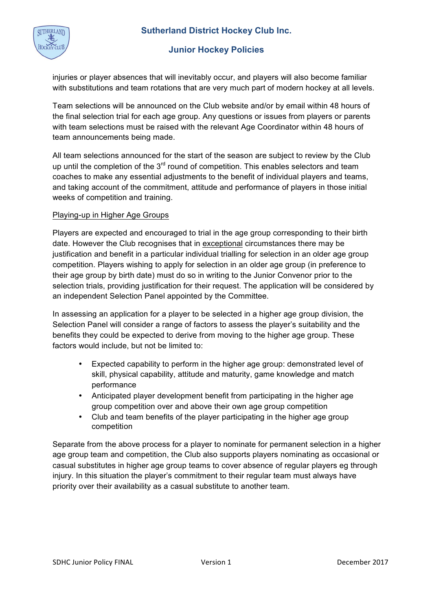

injuries or player absences that will inevitably occur, and players will also become familiar with substitutions and team rotations that are very much part of modern hockey at all levels.

Team selections will be announced on the Club website and/or by email within 48 hours of the final selection trial for each age group. Any questions or issues from players or parents with team selections must be raised with the relevant Age Coordinator within 48 hours of team announcements being made.

All team selections announced for the start of the season are subject to review by the Club up until the completion of the  $3<sup>rd</sup>$  round of competition. This enables selectors and team coaches to make any essential adjustments to the benefit of individual players and teams, and taking account of the commitment, attitude and performance of players in those initial weeks of competition and training.

## Playing-up in Higher Age Groups

Players are expected and encouraged to trial in the age group corresponding to their birth date. However the Club recognises that in exceptional circumstances there may be justification and benefit in a particular individual trialling for selection in an older age group competition. Players wishing to apply for selection in an older age group (in preference to their age group by birth date) must do so in writing to the Junior Convenor prior to the selection trials, providing justification for their request. The application will be considered by an independent Selection Panel appointed by the Committee.

In assessing an application for a player to be selected in a higher age group division, the Selection Panel will consider a range of factors to assess the player's suitability and the benefits they could be expected to derive from moving to the higher age group. These factors would include, but not be limited to:

- Expected capability to perform in the higher age group: demonstrated level of skill, physical capability, attitude and maturity, game knowledge and match performance
- Anticipated player development benefit from participating in the higher age group competition over and above their own age group competition
- Club and team benefits of the player participating in the higher age group competition

Separate from the above process for a player to nominate for permanent selection in a higher age group team and competition, the Club also supports players nominating as occasional or casual substitutes in higher age group teams to cover absence of regular players eg through injury. In this situation the player's commitment to their regular team must always have priority over their availability as a casual substitute to another team.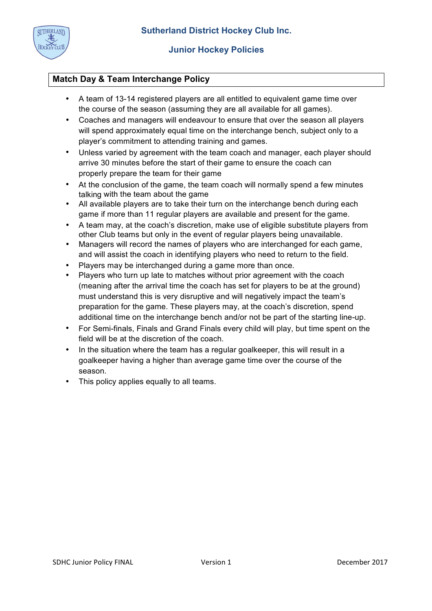

# **Match Day & Team Interchange Policy**

- A team of 13-14 registered players are all entitled to equivalent game time over the course of the season (assuming they are all available for all games).
- Coaches and managers will endeavour to ensure that over the season all players will spend approximately equal time on the interchange bench, subject only to a player's commitment to attending training and games.
- Unless varied by agreement with the team coach and manager, each player should arrive 30 minutes before the start of their game to ensure the coach can properly prepare the team for their game
- At the conclusion of the game, the team coach will normally spend a few minutes talking with the team about the game
- All available players are to take their turn on the interchange bench during each game if more than 11 regular players are available and present for the game.
- A team may, at the coach's discretion, make use of eligible substitute players from other Club teams but only in the event of regular players being unavailable.
- Managers will record the names of players who are interchanged for each game, and will assist the coach in identifying players who need to return to the field.
- Players may be interchanged during a game more than once.
- Players who turn up late to matches without prior agreement with the coach (meaning after the arrival time the coach has set for players to be at the ground) must understand this is very disruptive and will negatively impact the team's preparation for the game. These players may, at the coach's discretion, spend additional time on the interchange bench and/or not be part of the starting line-up.
- For Semi-finals, Finals and Grand Finals every child will play, but time spent on the field will be at the discretion of the coach.
- In the situation where the team has a regular goalkeeper, this will result in a goalkeeper having a higher than average game time over the course of the season.
- This policy applies equally to all teams.